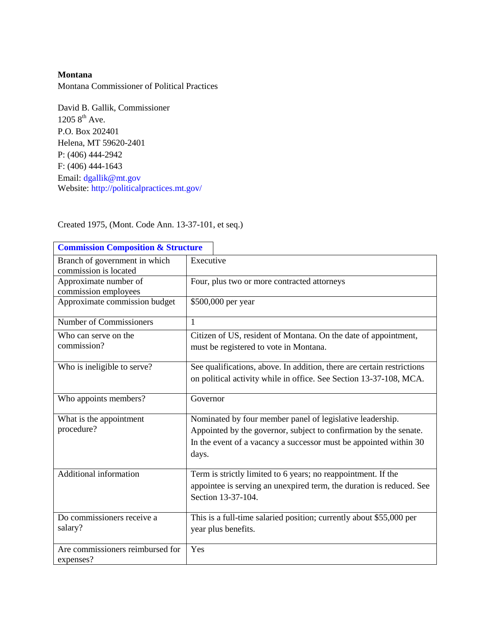### **Montana**

Montana Commissioner of Political Practices

David B. Gallik, Commissioner  $1205 8^{th}$  Ave. P.O. Box 202401 Helena, MT 59620-2401 P: (406) 444-2942 F: (406) 444-1643 Email: [dgallik@mt.gov](mailto:dgallik@mt.gov) Website:<http://politicalpractices.mt.gov/>

| <b>Commission Composition &amp; Structure</b>          |                                                                                                                                                                                                              |
|--------------------------------------------------------|--------------------------------------------------------------------------------------------------------------------------------------------------------------------------------------------------------------|
| Branch of government in which<br>commission is located | Executive                                                                                                                                                                                                    |
| Approximate number of<br>commission employees          | Four, plus two or more contracted attorneys                                                                                                                                                                  |
| Approximate commission budget                          | \$500,000 per year                                                                                                                                                                                           |
| Number of Commissioners                                | $\mathbf{1}$                                                                                                                                                                                                 |
| Who can serve on the<br>commission?                    | Citizen of US, resident of Montana. On the date of appointment,<br>must be registered to vote in Montana.                                                                                                    |
| Who is ineligible to serve?                            | See qualifications, above. In addition, there are certain restrictions<br>on political activity while in office. See Section 13-37-108, MCA.                                                                 |
| Who appoints members?                                  | Governor                                                                                                                                                                                                     |
| What is the appointment<br>procedure?                  | Nominated by four member panel of legislative leadership.<br>Appointed by the governor, subject to confirmation by the senate.<br>In the event of a vacancy a successor must be appointed within 30<br>days. |
| Additional information                                 | Term is strictly limited to 6 years; no reappointment. If the<br>appointee is serving an unexpired term, the duration is reduced. See<br>Section 13-37-104.                                                  |
| Do commissioners receive a<br>salary?                  | This is a full-time salaried position; currently about \$55,000 per<br>year plus benefits.                                                                                                                   |
| Are commissioners reimbursed for<br>expenses?          | Yes                                                                                                                                                                                                          |

Created 1975, (Mont. Code Ann. 13-37-101, et seq.)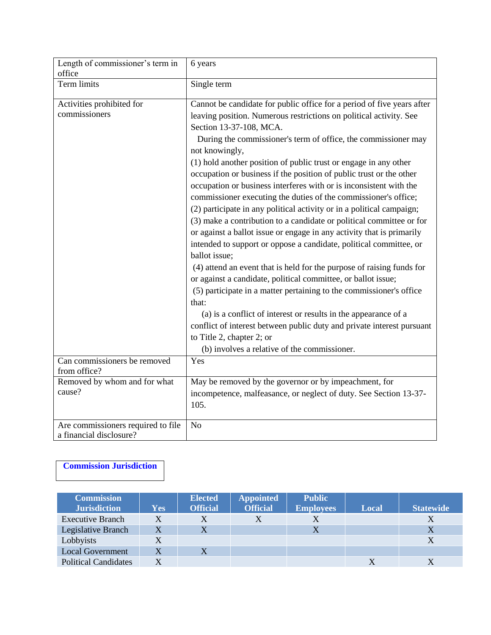| Length of commissioner's term in<br>office                    | 6 years                                                                          |
|---------------------------------------------------------------|----------------------------------------------------------------------------------|
| Term limits                                                   | Single term                                                                      |
|                                                               |                                                                                  |
| Activities prohibited for                                     | Cannot be candidate for public office for a period of five years after           |
| commissioners                                                 | leaving position. Numerous restrictions on political activity. See               |
|                                                               | Section 13-37-108, MCA.                                                          |
|                                                               | During the commissioner's term of office, the commissioner may<br>not knowingly, |
|                                                               | (1) hold another position of public trust or engage in any other                 |
|                                                               | occupation or business if the position of public trust or the other              |
|                                                               | occupation or business interferes with or is inconsistent with the               |
|                                                               | commissioner executing the duties of the commissioner's office;                  |
|                                                               | (2) participate in any political activity or in a political campaign;            |
|                                                               | (3) make a contribution to a candidate or political committee or for             |
|                                                               | or against a ballot issue or engage in any activity that is primarily            |
|                                                               | intended to support or oppose a candidate, political committee, or               |
|                                                               | ballot issue;                                                                    |
|                                                               | (4) attend an event that is held for the purpose of raising funds for            |
|                                                               | or against a candidate, political committee, or ballot issue;                    |
|                                                               | (5) participate in a matter pertaining to the commissioner's office              |
|                                                               | that:                                                                            |
|                                                               | (a) is a conflict of interest or results in the appearance of a                  |
|                                                               | conflict of interest between public duty and private interest pursuant           |
|                                                               | to Title 2, chapter 2; or                                                        |
|                                                               | (b) involves a relative of the commissioner.                                     |
| Can commissioners be removed                                  | Yes                                                                              |
| from office?                                                  |                                                                                  |
| Removed by whom and for what                                  | May be removed by the governor or by impeachment, for                            |
| cause?                                                        | incompetence, malfeasance, or neglect of duty. See Section 13-37-                |
|                                                               | 105.                                                                             |
| Are commissioners required to file<br>a financial disclosure? | N <sub>o</sub>                                                                   |

# **[Commission Jurisdiction](http://www.ncsl.org/Default.aspx?TabId=15361)**

| <b>Commission</b><br><b>Jurisdiction</b> | <b>Yes</b> | <b>Elected</b><br><b>Official</b> | <b>Appointed</b><br><b>Official</b> | <b>Public</b><br><b>Employees</b> | Local | <b>Statewide</b> |
|------------------------------------------|------------|-----------------------------------|-------------------------------------|-----------------------------------|-------|------------------|
|                                          |            |                                   |                                     |                                   |       |                  |
| <b>Executive Branch</b>                  |            |                                   |                                     |                                   |       |                  |
| Legislative Branch                       | X          | X                                 |                                     | X                                 |       |                  |
| Lobbyists                                |            |                                   |                                     |                                   |       |                  |
| <b>Local Government</b>                  | X          |                                   |                                     |                                   |       |                  |
| <b>Political Candidates</b>              |            |                                   |                                     |                                   |       |                  |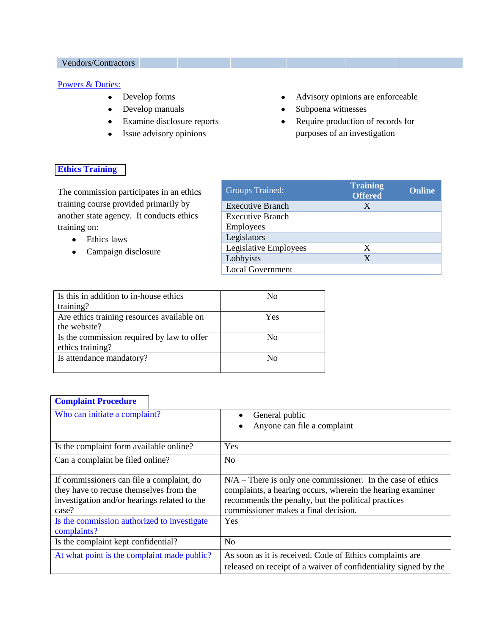### Vendors/Contractors

#### [Powers & Duties:](http://www.ncsl.org/?tabid=15348)

- $\bullet$ Develop forms
- Develop manuals  $\bullet$
- Examine disclosure reports  $\bullet$
- Issue advisory opinions  $\bullet$
- Advisory opinions are enforceable  $\bullet$
- Subpoena witnesses  $\bullet$
- Require production of records for  $\bullet$ purposes of an investigation

## **[Ethics Training](http://www.ncsl.org/?tabid=23360)**

The commission participates in an ethics training course provided primarily by another state agency. It conducts ethics training on:

- Ethics laws  $\bullet$
- Campaign disclosure  $\bullet$

| <b>Groups Trained:</b>  | <b>Training</b><br><b>Offered</b> | <b>Online</b> |
|-------------------------|-----------------------------------|---------------|
| <b>Executive Branch</b> | X                                 |               |
| <b>Executive Branch</b> |                                   |               |
| <b>Employees</b>        |                                   |               |
| Legislators             |                                   |               |
| Legislative Employees   | X                                 |               |
| Lobbyists               | X                                 |               |
| <b>Local Government</b> |                                   |               |

| Is this in addition to in-house ethics     | No  |
|--------------------------------------------|-----|
| training?                                  |     |
| Are ethics training resources available on | Yes |
| the website?                               |     |
| Is the commission required by law to offer | No  |
| ethics training?                           |     |
| Is attendance mandatory?                   | Nο  |
|                                            |     |

## **[Complaint Procedure](http://www.ncsl.org/?tabid=22404)**

 $\overline{\phantom{a}}$ 

| Who can initiate a complaint?                | General public<br>٠                                              |  |
|----------------------------------------------|------------------------------------------------------------------|--|
|                                              | Anyone can file a complaint<br>٠                                 |  |
|                                              |                                                                  |  |
| Is the complaint form available online?      | Yes                                                              |  |
| Can a complaint be filed online?             | N <sub>0</sub>                                                   |  |
|                                              |                                                                  |  |
| If commissioners can file a complaint, do    | $N/A$ – There is only one commissioner. In the case of ethics    |  |
| they have to recuse themselves from the      | complaints, a hearing occurs, wherein the hearing examiner       |  |
| investigation and/or hearings related to the | recommends the penalty, but the political practices              |  |
| case?                                        | commissioner makes a final decision.                             |  |
| Is the commission authorized to investigate  | Yes                                                              |  |
| complaints?                                  |                                                                  |  |
| Is the complaint kept confidential?          | No                                                               |  |
| At what point is the complaint made public?  | As soon as it is received. Code of Ethics complaints are         |  |
|                                              | released on receipt of a waiver of confidentiality signed by the |  |